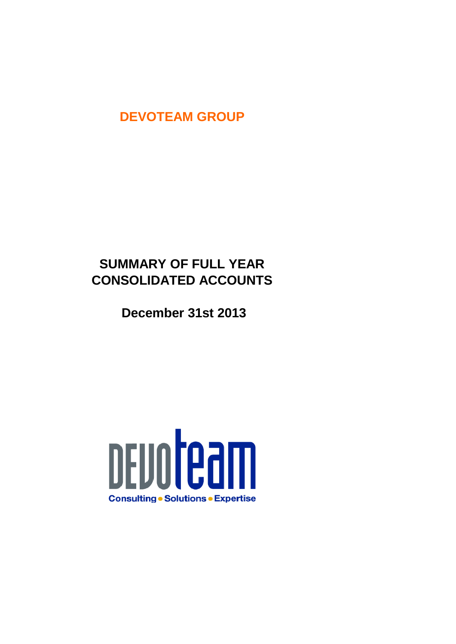## **DEVOTEAM GROUP**

# **SUMMARY OF FULL YEAR CONSOLIDATED ACCOUNTS**

 **December 31st 2013**

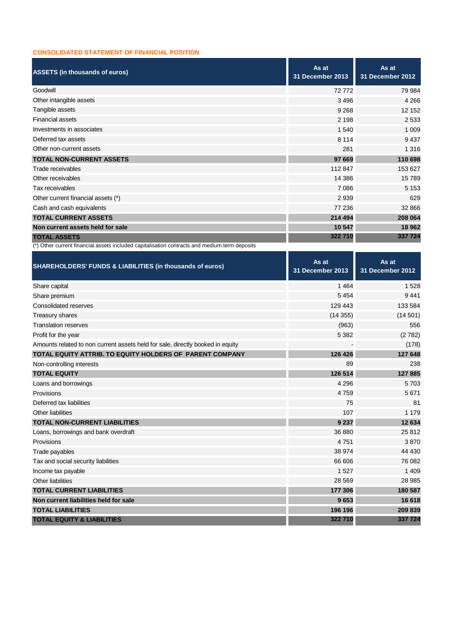#### **CONSOLIDATED STATEMENT OF FINANCIAL POSITION**

| <b>ASSETS (in thousands of euros)</b>                                                         | As at<br>31 December 2013 | As at<br><b>31 December 2012</b> |
|-----------------------------------------------------------------------------------------------|---------------------------|----------------------------------|
| Goodwill                                                                                      | 72772                     | 79 984                           |
| Other intangible assets                                                                       | 3 4 9 6                   | 4 2 6 6                          |
| Tangible assets                                                                               | 9 2 6 8                   | 12 152                           |
| <b>Financial assets</b>                                                                       | 2 1 9 8                   | 2533                             |
| Investments in associates                                                                     | 1 540                     | 1 0 0 9                          |
| Deferred tax assets                                                                           | 8 1 1 4                   | 9437                             |
| Other non-current assets                                                                      | 281                       | 1 3 1 6                          |
| <b>TOTAL NON-CURRENT ASSETS</b>                                                               | 97 669                    | 110 698                          |
| Trade receivables                                                                             | 112 847                   | 153 627                          |
| Other receivables                                                                             | 14 3 8 6                  | 15789                            |
| Tax receivables                                                                               | 7 0 8 6                   | 5 1 5 3                          |
| Other current financial assets (*)                                                            | 2939                      | 629                              |
| Cash and cash equivalents                                                                     | 77 236                    | 32 866                           |
| <b>TOTAL CURRENT ASSETS</b>                                                                   | 214 494                   | 208 064                          |
| Non current assets held for sale                                                              | 10 547                    | 18 962                           |
| <b>TOTAL ASSETS</b>                                                                           | 322710                    | 337 724                          |
| (*) Other current financial assets included capitalisation contracts and medium term deposits |                           |                                  |

٦I

٦

| <b>SHAREHOLDERS' FUNDS &amp; LIABILITIES (in thousands of euros)</b>           | As at<br><b>31 December 2013</b> | As at<br>31 December 2012 |
|--------------------------------------------------------------------------------|----------------------------------|---------------------------|
| Share capital                                                                  | 1464                             | 1528                      |
| Share premium                                                                  | 5454                             | 9441                      |
| Consolidated reserves                                                          | 129 443                          | 133 584                   |
| Treasury shares                                                                | (14355)                          | (14501)                   |
| <b>Translation reserves</b>                                                    | (963)                            | 556                       |
| Profit for the year                                                            | 5 3 8 2                          | (2782)                    |
| Amounts related to non current assets held for sale, directly booked in equity |                                  | (178)                     |
| TOTAL EQUITY ATTRIB. TO EQUITY HOLDERS OF PARENT COMPANY                       | 126 426                          | 127 648                   |
| Non-controlling interests                                                      | 89                               | 238                       |
| <b>TOTAL EQUITY</b>                                                            | 126 514                          | 127885                    |
| Loans and borrowings                                                           | 4 2 9 6                          | 5703                      |
| Provisions                                                                     | 4759                             | 5671                      |
| Deferred tax liabilities                                                       | 75                               | 81                        |
| Other liabilities                                                              | 107                              | 1 1 7 9                   |
| <b>TOTAL NON-CURRENT LIABILITIES</b>                                           | 9 2 3 7                          | 12 634                    |
| Loans, borrowings and bank overdraft                                           | 36 880                           | 25812                     |
| Provisions                                                                     | 4751                             | 3870                      |
| Trade payables                                                                 | 38 974                           | 44 430                    |
| Tax and social security liabilities                                            | 66 606                           | 76 082                    |
| Income tax payable                                                             | 1527                             | 1 4 0 9                   |
| Other liabilities                                                              | 28 5 69                          | 28 985                    |
| <b>TOTAL CURRENT LIABILITIES</b>                                               | 177 306                          | 180 587                   |
| Non current liabilities held for sale                                          | 9653                             | 16 618                    |
| <b>TOTAL LIABILITIES</b>                                                       | 196 196                          | 209 839                   |
| <b>TOTAL EQUITY &amp; LIABILITIES</b>                                          | 322710                           | 337 724                   |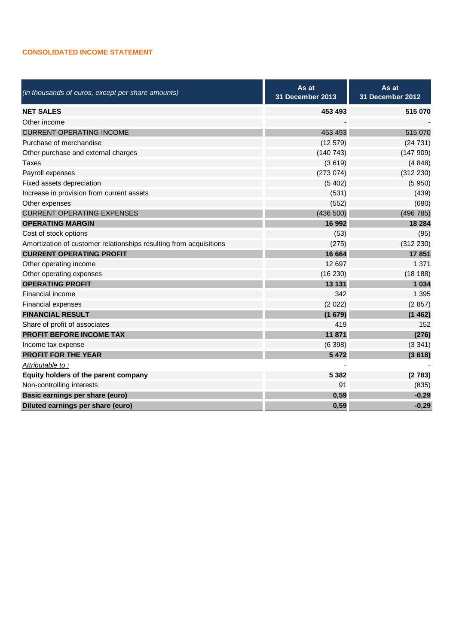#### **CONSOLIDATED INCOME STATEMENT**

| (in thousands of euros, except per share amounts)                  | As at<br>31 December 2013 | As at<br>31 December 2012 |  |
|--------------------------------------------------------------------|---------------------------|---------------------------|--|
| <b>NET SALES</b>                                                   | 453 493                   | 515 070                   |  |
| Other income                                                       |                           |                           |  |
| <b>CURRENT OPERATING INCOME</b>                                    | 453 493                   | 515 070                   |  |
| Purchase of merchandise                                            | (12579)                   | (24731)                   |  |
| Other purchase and external charges                                | (140743)                  | (147909)                  |  |
| <b>Taxes</b>                                                       | (3619)                    | (4848)                    |  |
| Payroll expenses                                                   | (273074)                  | (312 230)                 |  |
| Fixed assets depreciation                                          | (5402)                    | (5950)                    |  |
| Increase in provision from current assets                          | (531)                     | (439)                     |  |
| Other expenses                                                     | (552)                     | (680)                     |  |
| <b>CURRENT OPERATING EXPENSES</b>                                  | (436 500)                 | (496 785)                 |  |
| <b>OPERATING MARGIN</b>                                            | 16 992                    | 18 284                    |  |
| Cost of stock options                                              | (53)                      | (95)                      |  |
| Amortization of customer relationships resulting from acquisitions | (275)                     | (312 230)                 |  |
| <b>CURRENT OPERATING PROFIT</b>                                    | 16 664                    | 17851                     |  |
| Other operating income                                             | 12 697                    | 1 3 7 1                   |  |
| Other operating expenses                                           | (16 230)                  | (18188)                   |  |
| <b>OPERATING PROFIT</b>                                            | 13 131                    | 1 0 3 4                   |  |
| Financial income                                                   | 342                       | 1 3 9 5                   |  |
| Financial expenses                                                 | (2 022)                   | (2857)                    |  |
| <b>FINANCIAL RESULT</b>                                            | (1679)                    | (1462)                    |  |
| Share of profit of associates                                      | 419                       | 152                       |  |
| <b>PROFIT BEFORE INCOME TAX</b>                                    | 11 871                    | (276)                     |  |
| Income tax expense                                                 | (6398)                    | (3341)                    |  |
| <b>PROFIT FOR THE YEAR</b>                                         | 5 4 7 2                   | (3618)                    |  |
| Attributable to:                                                   |                           |                           |  |
| Equity holders of the parent company                               | 5 3 8 2                   | (2783)                    |  |
| Non-controlling interests                                          | 91                        | (835)                     |  |
| Basic earnings per share (euro)                                    | 0,59                      | $-0,29$                   |  |
| Diluted earnings per share (euro)                                  | 0,59                      | $-0,29$                   |  |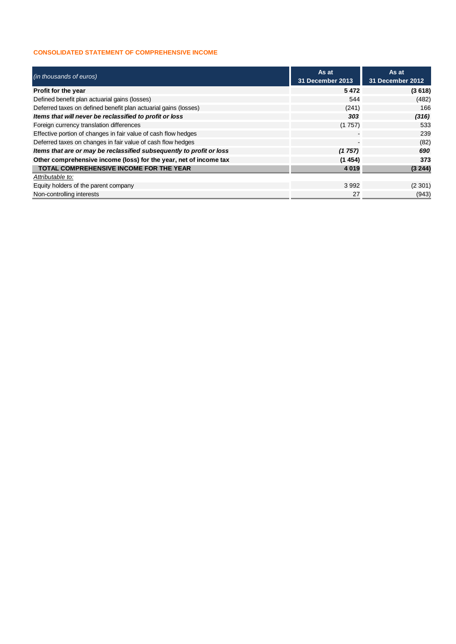### **CONSOLIDATED STATEMENT OF COMPREHENSIVE INCOME**

| (in thousands of euros)                                              | As at<br>31 December 2013 | As at<br>31 December 2012 |  |
|----------------------------------------------------------------------|---------------------------|---------------------------|--|
| Profit for the year                                                  | 5472                      | (3618)                    |  |
| Defined benefit plan actuarial gains (losses)                        | 544                       | (482)                     |  |
| Deferred taxes on defined benefit plan actuarial gains (losses)      | (241)                     | 166                       |  |
| Items that will never be reclassified to profit or loss              | 303                       | (316)                     |  |
| Foreign currency translation differences                             | (1757)                    | 533                       |  |
| Effective portion of changes in fair value of cash flow hedges       |                           | 239                       |  |
| Deferred taxes on changes in fair value of cash flow hedges          |                           | (82)                      |  |
| Items that are or may be reclassified subsequently to profit or loss | (1757)                    | 690                       |  |
| Other comprehensive income (loss) for the year, net of income tax    | (1454)                    | 373                       |  |
| <b>TOTAL COMPREHENSIVE INCOME FOR THE YEAR</b>                       | 4 0 1 9                   | (3 244)                   |  |
| Attributable to:                                                     |                           |                           |  |
| Equity holders of the parent company                                 | 3992                      | (2301)                    |  |
| Non-controlling interests                                            | 27                        | (943)                     |  |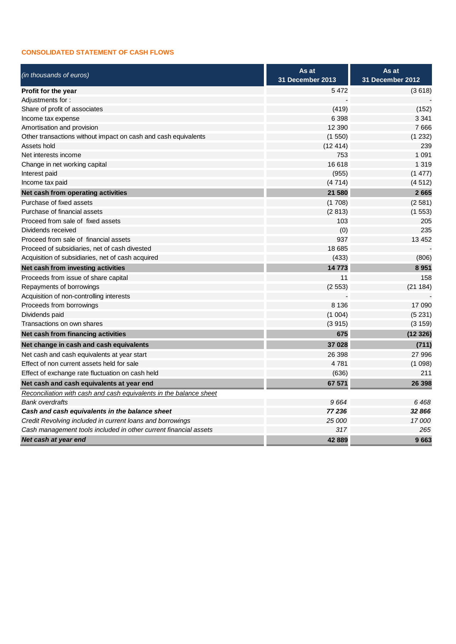### **CONSOLIDATED STATEMENT OF CASH FLOWS**

| (in thousands of euros)                                            | As at                   | As at                   |  |
|--------------------------------------------------------------------|-------------------------|-------------------------|--|
|                                                                    | <b>31 December 2013</b> | <b>31 December 2012</b> |  |
| Profit for the year                                                | 5472                    | (3618)                  |  |
| Adjustments for:                                                   |                         |                         |  |
| Share of profit of associates                                      | (419)                   | (152)                   |  |
| Income tax expense                                                 | 6 3 9 8                 | 3 3 4 1                 |  |
| Amortisation and provision                                         | 12 3 9 0                | 7666                    |  |
| Other transactions without impact on cash and cash equivalents     | (1550)                  | (1 232)                 |  |
| Assets hold                                                        | (12414)                 | 239                     |  |
| Net interests income                                               | 753                     | 1 0 9 1                 |  |
| Change in net working capital                                      | 16 618                  | 1 3 1 9                 |  |
| Interest paid                                                      | (955)                   | (1477)                  |  |
| Income tax paid                                                    | (4714)                  | (4512)                  |  |
| Net cash from operating activities                                 | 21 580                  | 2665                    |  |
| Purchase of fixed assets                                           | (1708)                  | (2581)                  |  |
| Purchase of financial assets                                       | (2813)                  | (1553)                  |  |
| Proceed from sale of fixed assets                                  | 103                     | 205                     |  |
| Dividends received                                                 | (0)                     | 235                     |  |
| Proceed from sale of financial assets                              | 937                     | 13 4 5 2                |  |
| Proceed of subsidiaries, net of cash divested                      | 18 685                  |                         |  |
| Acquisition of subsidiaries, net of cash acquired                  | (433)                   | (806)                   |  |
| Net cash from investing activities                                 | 14773                   | 8951                    |  |
| Proceeds from issue of share capital                               | 11                      | 158                     |  |
| Repayments of borrowings                                           | (2553)                  | (21184)                 |  |
| Acquisition of non-controlling interests                           |                         |                         |  |
| Proceeds from borrowings                                           | 8 1 3 6                 | 17 090                  |  |
| Dividends paid                                                     | (1004)                  | (5231)                  |  |
| Transactions on own shares                                         | (3915)                  | (3159)                  |  |
| Net cash from financing activities                                 | 675                     | (12326)                 |  |
| Net change in cash and cash equivalents                            | 37 028                  | (711)                   |  |
| Net cash and cash equivalents at year start                        | 26 398                  | 27 996                  |  |
| Effect of non current assets held for sale                         | 4781                    | (1098)                  |  |
| Effect of exchange rate fluctuation on cash held                   | (636)                   | 211                     |  |
| Net cash and cash equivalents at year end                          | 67 571                  | 26 398                  |  |
| Reconciliation with cash and cash equivalents in the balance sheet |                         |                         |  |
| <b>Bank overdrafts</b>                                             | 9664                    | 6468                    |  |
| Cash and cash equivalents in the balance sheet                     | 77 236                  | 32 866                  |  |
| Credit Revolving included in current loans and borrowings          | 25 000                  | 17000                   |  |
| Cash management tools included in other current financial assets   | 317                     | 265                     |  |
| Net cash at year end                                               | 42889                   | 9663                    |  |